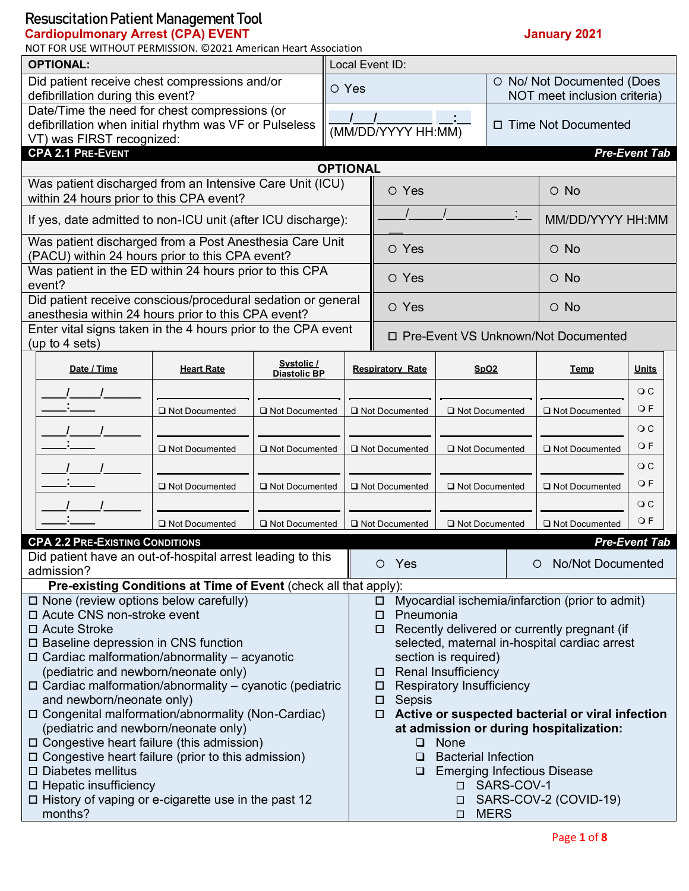#### **Cardiopulmonary Arrest (CPA) EVENT January 2021**

| NOT FOR USE WITHOUT PERMISSION. @2021 American Heart Association                                                    |                                                                  |                                   |                                                                     |                                              |                  |                                                            |                                                  |                      |  |  |
|---------------------------------------------------------------------------------------------------------------------|------------------------------------------------------------------|-----------------------------------|---------------------------------------------------------------------|----------------------------------------------|------------------|------------------------------------------------------------|--------------------------------------------------|----------------------|--|--|
| <b>OPTIONAL:</b>                                                                                                    |                                                                  |                                   |                                                                     | Local Event ID:                              |                  |                                                            |                                                  |                      |  |  |
| Did patient receive chest compressions and/or<br>O Yes<br>defibrillation during this event?                         |                                                                  |                                   |                                                                     |                                              |                  | O No/ Not Documented (Does<br>NOT meet inclusion criteria) |                                                  |                      |  |  |
| Date/Time the need for chest compressions (or                                                                       |                                                                  |                                   |                                                                     |                                              |                  |                                                            |                                                  |                      |  |  |
| defibrillation when initial rhythm was VF or Pulseless                                                              |                                                                  |                                   |                                                                     | (MM/DD/YYYY HH:MM)                           |                  |                                                            | □ Time Not Documented                            |                      |  |  |
| VT) was FIRST recognized:                                                                                           |                                                                  |                                   |                                                                     |                                              |                  |                                                            |                                                  |                      |  |  |
| <b>CPA 2.1 PRE-EVENT</b>                                                                                            |                                                                  |                                   |                                                                     |                                              |                  |                                                            |                                                  | <b>Pre-Event Tab</b> |  |  |
|                                                                                                                     |                                                                  |                                   | <b>OPTIONAL</b>                                                     |                                              |                  |                                                            |                                                  |                      |  |  |
| Was patient discharged from an Intensive Care Unit (ICU)<br>within 24 hours prior to this CPA event?                |                                                                  |                                   |                                                                     | O Yes                                        |                  | $\circ$ No                                                 |                                                  |                      |  |  |
| If yes, date admitted to non-ICU unit (after ICU discharge):                                                        |                                                                  |                                   |                                                                     |                                              |                  |                                                            | MM/DD/YYYY HH:MM                                 |                      |  |  |
| Was patient discharged from a Post Anesthesia Care Unit<br>(PACU) within 24 hours prior to this CPA event?          |                                                                  |                                   |                                                                     | O Yes                                        |                  |                                                            | $\circ$ No                                       |                      |  |  |
| Was patient in the ED within 24 hours prior to this CPA<br>event?                                                   |                                                                  |                                   |                                                                     | O Yes                                        |                  |                                                            | $\circ$ No                                       |                      |  |  |
| Did patient receive conscious/procedural sedation or general<br>anesthesia within 24 hours prior to this CPA event? |                                                                  |                                   |                                                                     | O Yes                                        |                  |                                                            | $\circ$ No                                       |                      |  |  |
| Enter vital signs taken in the 4 hours prior to the CPA event<br>(up to 4 sets)                                     |                                                                  |                                   |                                                                     |                                              |                  |                                                            | □ Pre-Event VS Unknown/Not Documented            |                      |  |  |
| Date / Time                                                                                                         | <b>Heart Rate</b>                                                | Systolic /<br><b>Diastolic BP</b> |                                                                     | <b>Respiratory Rate</b><br><b>SpO2</b>       |                  |                                                            | <b>Temp</b>                                      | <b>Units</b>         |  |  |
|                                                                                                                     |                                                                  |                                   |                                                                     |                                              |                  |                                                            |                                                  | $\circ$ $\circ$      |  |  |
|                                                                                                                     |                                                                  |                                   |                                                                     |                                              |                  |                                                            |                                                  | OF                   |  |  |
|                                                                                                                     | Not Documented                                                   | Not Documented                    |                                                                     | Not Documented                               | Not Documented   |                                                            | Not Documented                                   |                      |  |  |
|                                                                                                                     |                                                                  |                                   |                                                                     |                                              |                  |                                                            |                                                  | $\overline{O}$ C     |  |  |
|                                                                                                                     | Not Documented                                                   | Not Documented                    |                                                                     | □ Not Documented                             | Not Documented   |                                                            | Not Documented                                   | OF                   |  |  |
|                                                                                                                     |                                                                  |                                   |                                                                     |                                              |                  |                                                            |                                                  | $\overline{O}C$      |  |  |
|                                                                                                                     | Not Documented                                                   | □ Not Documented                  |                                                                     | Not Documented                               | □ Not Documented |                                                            | Not Documented                                   | OF                   |  |  |
|                                                                                                                     |                                                                  |                                   |                                                                     |                                              |                  |                                                            |                                                  | $\circ$ $\circ$      |  |  |
|                                                                                                                     |                                                                  |                                   |                                                                     |                                              |                  |                                                            |                                                  | OF                   |  |  |
|                                                                                                                     | Not Documented                                                   | □ Not Documented                  |                                                                     | Not Documented                               | □ Not Documented |                                                            | □ Not Documented                                 |                      |  |  |
| <b>CPA 2.2 PRE-EXISTING CONDITIONS</b>                                                                              |                                                                  |                                   |                                                                     |                                              |                  |                                                            |                                                  | <b>Pre-Event Tab</b> |  |  |
| Did patient have an out-of-hospital arrest leading to this                                                          |                                                                  |                                   |                                                                     | Yes<br>$\circ$                               |                  |                                                            | <b>No/Not Documented</b><br>O                    |                      |  |  |
| admission?                                                                                                          |                                                                  |                                   |                                                                     |                                              |                  |                                                            |                                                  |                      |  |  |
|                                                                                                                     | Pre-existing Conditions at Time of Event (check all that apply): |                                   |                                                                     |                                              |                  |                                                            |                                                  |                      |  |  |
| $\Box$ None (review options below carefully)<br>□ Acute CNS non-stroke event                                        |                                                                  |                                   | Myocardial ischemia/infarction (prior to admit)<br>□                |                                              |                  |                                                            |                                                  |                      |  |  |
| □ Acute Stroke                                                                                                      |                                                                  |                                   | Pneumonia<br>□<br>Recently delivered or currently pregnant (if<br>□ |                                              |                  |                                                            |                                                  |                      |  |  |
| □ Baseline depression in CNS function                                                                               |                                                                  |                                   | selected, maternal in-hospital cardiac arrest                       |                                              |                  |                                                            |                                                  |                      |  |  |
| $\Box$ Cardiac malformation/abnormality – acyanotic                                                                 |                                                                  |                                   | section is required)                                                |                                              |                  |                                                            |                                                  |                      |  |  |
| (pediatric and newborn/neonate only)                                                                                |                                                                  |                                   | <b>Renal Insufficiency</b><br>ш                                     |                                              |                  |                                                            |                                                  |                      |  |  |
| $\Box$ Cardiac malformation/abnormality – cyanotic (pediatric                                                       |                                                                  |                                   | Respiratory Insufficiency<br>ш                                      |                                              |                  |                                                            |                                                  |                      |  |  |
| and newborn/neonate only)                                                                                           |                                                                  |                                   | Sepsis<br>□                                                         |                                              |                  |                                                            |                                                  |                      |  |  |
| □ Congenital malformation/abnormality (Non-Cardiac)                                                                 |                                                                  |                                   |                                                                     | □                                            |                  |                                                            | Active or suspected bacterial or viral infection |                      |  |  |
| (pediatric and newborn/neonate only)                                                                                |                                                                  |                                   |                                                                     |                                              |                  |                                                            | at admission or during hospitalization:          |                      |  |  |
| $\Box$ Congestive heart failure (this admission)<br>$\Box$ Congestive heart failure (prior to this admission)       |                                                                  |                                   |                                                                     | None<br>$\Box$<br><b>Bacterial Infection</b> |                  |                                                            |                                                  |                      |  |  |
| □ Diabetes mellitus                                                                                                 |                                                                  |                                   |                                                                     | ◻<br>❏.                                      |                  |                                                            | <b>Emerging Infectious Disease</b>               |                      |  |  |
| $\Box$ Hepatic insufficiency                                                                                        |                                                                  |                                   |                                                                     |                                              |                  | □ SARS-COV-1                                               |                                                  |                      |  |  |
|                                                                                                                     |                                                                  |                                   |                                                                     | SARS-COV-2 (COVID-19)<br>□                   |                  |                                                            |                                                  |                      |  |  |
| $\Box$ History of vaping or e-cigarette use in the past 12<br>months?                                               |                                                                  |                                   |                                                                     | <b>MERS</b><br>□                             |                  |                                                            |                                                  |                      |  |  |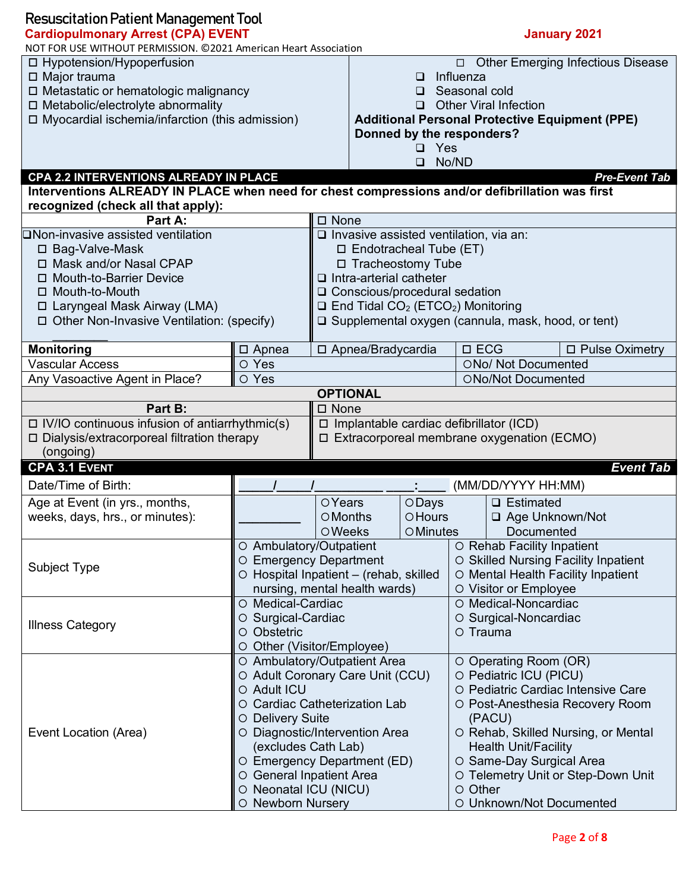| <b>Resuscitation Patient Management Tool</b>                                                    |                                                 |                                                |                                                    |                                                                  |                                                              |                                                              |                                                       |  |
|-------------------------------------------------------------------------------------------------|-------------------------------------------------|------------------------------------------------|----------------------------------------------------|------------------------------------------------------------------|--------------------------------------------------------------|--------------------------------------------------------------|-------------------------------------------------------|--|
| <b>Cardiopulmonary Arrest (CPA) EVENT</b>                                                       |                                                 |                                                |                                                    |                                                                  | <b>January 2021</b>                                          |                                                              |                                                       |  |
| NOT FOR USE WITHOUT PERMISSION. @2021 American Heart Association                                |                                                 |                                                |                                                    |                                                                  |                                                              |                                                              |                                                       |  |
| □ Hypotension/Hypoperfusion                                                                     |                                                 |                                                |                                                    |                                                                  |                                                              |                                                              | □ Other Emerging Infectious Disease                   |  |
| $\Box$ Major trauma                                                                             |                                                 |                                                | Influenza<br>□                                     |                                                                  |                                                              |                                                              |                                                       |  |
| □ Metastatic or hematologic malignancy                                                          |                                                 |                                                | Seasonal cold<br>□<br><b>Other Viral Infection</b> |                                                                  |                                                              |                                                              |                                                       |  |
| □ Metabolic/electrolyte abnormality                                                             |                                                 |                                                |                                                    |                                                                  |                                                              |                                                              |                                                       |  |
| $\Box$ Myocardial ischemia/infarction (this admission)                                          |                                                 |                                                |                                                    | Donned by the responders?                                        |                                                              |                                                              | <b>Additional Personal Protective Equipment (PPE)</b> |  |
|                                                                                                 |                                                 |                                                |                                                    | $\Box$ Yes                                                       |                                                              |                                                              |                                                       |  |
|                                                                                                 |                                                 |                                                |                                                    | $\Box$                                                           | No/ND                                                        |                                                              |                                                       |  |
| CPA 2.2 INTERVENTIONS ALREADY IN PLACE                                                          |                                                 |                                                |                                                    |                                                                  |                                                              |                                                              | <b>Pre-Event Tab</b>                                  |  |
| Interventions ALREADY IN PLACE when need for chest compressions and/or defibrillation was first |                                                 |                                                |                                                    |                                                                  |                                                              |                                                              |                                                       |  |
| recognized (check all that apply):                                                              |                                                 |                                                |                                                    |                                                                  |                                                              |                                                              |                                                       |  |
| Part A:                                                                                         |                                                 | $\square$ None                                 |                                                    |                                                                  |                                                              |                                                              |                                                       |  |
| ONon-invasive assisted ventilation                                                              |                                                 |                                                |                                                    | $\Box$ Invasive assisted ventilation, via an:                    |                                                              |                                                              |                                                       |  |
| □ Bag-Valve-Mask                                                                                |                                                 |                                                |                                                    | $\Box$ Endotracheal Tube (ET)                                    |                                                              |                                                              |                                                       |  |
| □ Mask and/or Nasal CPAP                                                                        |                                                 |                                                |                                                    | □ Tracheostomy Tube                                              |                                                              |                                                              |                                                       |  |
| □ Mouth-to-Barrier Device                                                                       |                                                 |                                                |                                                    | $\Box$ Intra-arterial catheter                                   |                                                              |                                                              |                                                       |  |
| □ Mouth-to-Mouth                                                                                |                                                 |                                                |                                                    | □ Conscious/procedural sedation                                  |                                                              |                                                              |                                                       |  |
| □ Laryngeal Mask Airway (LMA)                                                                   |                                                 |                                                |                                                    | $\Box$ End Tidal CO <sub>2</sub> (ETCO <sub>2</sub> ) Monitoring |                                                              |                                                              |                                                       |  |
| □ Other Non-Invasive Ventilation: (specify)                                                     |                                                 |                                                |                                                    |                                                                  |                                                              | $\square$ Supplemental oxygen (cannula, mask, hood, or tent) |                                                       |  |
| <b>Monitoring</b>                                                                               | □ Apnea                                         |                                                |                                                    |                                                                  | $\square$ ECG                                                |                                                              | □ Pulse Oximetry                                      |  |
| <b>Vascular Access</b>                                                                          | O Yes                                           | □ Apnea/Bradycardia                            |                                                    |                                                                  |                                                              | ONo/ Not Documented                                          |                                                       |  |
| Any Vasoactive Agent in Place?                                                                  | O Yes                                           |                                                |                                                    |                                                                  | ONo/Not Documented                                           |                                                              |                                                       |  |
| <b>OPTIONAL</b>                                                                                 |                                                 |                                                |                                                    |                                                                  |                                                              |                                                              |                                                       |  |
| Part B:                                                                                         |                                                 | □ None                                         |                                                    |                                                                  |                                                              |                                                              |                                                       |  |
| $\Box$ IV/IO continuous infusion of antiarrhythmic(s)                                           |                                                 | $\Box$ Implantable cardiac defibrillator (ICD) |                                                    |                                                                  |                                                              |                                                              |                                                       |  |
| $\Box$ Dialysis/extracorporeal filtration therapy                                               |                                                 | □ Extracorporeal membrane oxygenation (ECMO)   |                                                    |                                                                  |                                                              |                                                              |                                                       |  |
| (ongoing)                                                                                       |                                                 |                                                |                                                    |                                                                  |                                                              |                                                              |                                                       |  |
| <b>CPA 3.1 EVENT</b>                                                                            |                                                 |                                                |                                                    |                                                                  |                                                              |                                                              | <b>Event Tab</b>                                      |  |
| Date/Time of Birth:                                                                             |                                                 |                                                |                                                    |                                                                  |                                                              | (MM/DD/YYYY HH:MM)                                           |                                                       |  |
| Age at Event (in yrs., months,                                                                  |                                                 | <b>OYears</b>                                  |                                                    | ODays                                                            | □ Estimated                                                  |                                                              |                                                       |  |
| weeks, days, hrs., or minutes):                                                                 |                                                 | OMonths                                        | OHours                                             |                                                                  | □ Age Unknown/Not                                            |                                                              |                                                       |  |
|                                                                                                 |                                                 | <b>OWeeks</b>                                  |                                                    | OMinutes                                                         |                                                              | Documented                                                   |                                                       |  |
|                                                                                                 | O Ambulatory/Outpatient                         |                                                |                                                    |                                                                  | O Rehab Facility Inpatient                                   |                                                              |                                                       |  |
| Subject Type                                                                                    |                                                 | O Emergency Department                         |                                                    |                                                                  | O Skilled Nursing Facility Inpatient                         |                                                              |                                                       |  |
|                                                                                                 |                                                 | O Hospital Inpatient - (rehab, skilled         |                                                    |                                                                  | O Mental Health Facility Inpatient                           |                                                              |                                                       |  |
|                                                                                                 |                                                 | nursing, mental health wards)                  |                                                    |                                                                  | O Visitor or Employee                                        |                                                              |                                                       |  |
|                                                                                                 |                                                 | O Medical-Cardiac                              |                                                    |                                                                  |                                                              | O Medical-Noncardiac                                         |                                                       |  |
| <b>Illness Category</b>                                                                         | O Surgical-Cardiac                              |                                                |                                                    |                                                                  | O Surgical-Noncardiac                                        |                                                              |                                                       |  |
|                                                                                                 | O Obstetric                                     |                                                |                                                    |                                                                  | O Trauma                                                     |                                                              |                                                       |  |
|                                                                                                 | O Other (Visitor/Employee)                      |                                                |                                                    |                                                                  |                                                              |                                                              |                                                       |  |
|                                                                                                 | O Ambulatory/Outpatient Area                    |                                                |                                                    |                                                                  |                                                              | O Operating Room (OR)                                        |                                                       |  |
|                                                                                                 | O Adult Coronary Care Unit (CCU)<br>O Adult ICU |                                                |                                                    |                                                                  | O Pediatric ICU (PICU)<br>O Pediatric Cardiac Intensive Care |                                                              |                                                       |  |
|                                                                                                 | O Cardiac Catheterization Lab                   |                                                |                                                    |                                                                  |                                                              |                                                              |                                                       |  |
|                                                                                                 | O Delivery Suite                                |                                                |                                                    |                                                                  |                                                              | (PACU)                                                       | O Post-Anesthesia Recovery Room                       |  |
| Event Location (Area)                                                                           | O Diagnostic/Intervention Area                  |                                                |                                                    |                                                                  |                                                              |                                                              | O Rehab, Skilled Nursing, or Mental                   |  |
|                                                                                                 | (excludes Cath Lab)                             |                                                |                                                    |                                                                  |                                                              | Health Unit/Facility                                         |                                                       |  |
|                                                                                                 | O Emergency Department (ED)                     |                                                |                                                    |                                                                  |                                                              | O Same-Day Surgical Area                                     |                                                       |  |
|                                                                                                 | O General Inpatient Area                        |                                                |                                                    |                                                                  |                                                              |                                                              | O Telemetry Unit or Step-Down Unit                    |  |
|                                                                                                 | O Neonatal ICU (NICU)                           |                                                |                                                    |                                                                  | O Other                                                      |                                                              |                                                       |  |
|                                                                                                 | O Newborn Nursery                               |                                                |                                                    |                                                                  | O Unknown/Not Documented                                     |                                                              |                                                       |  |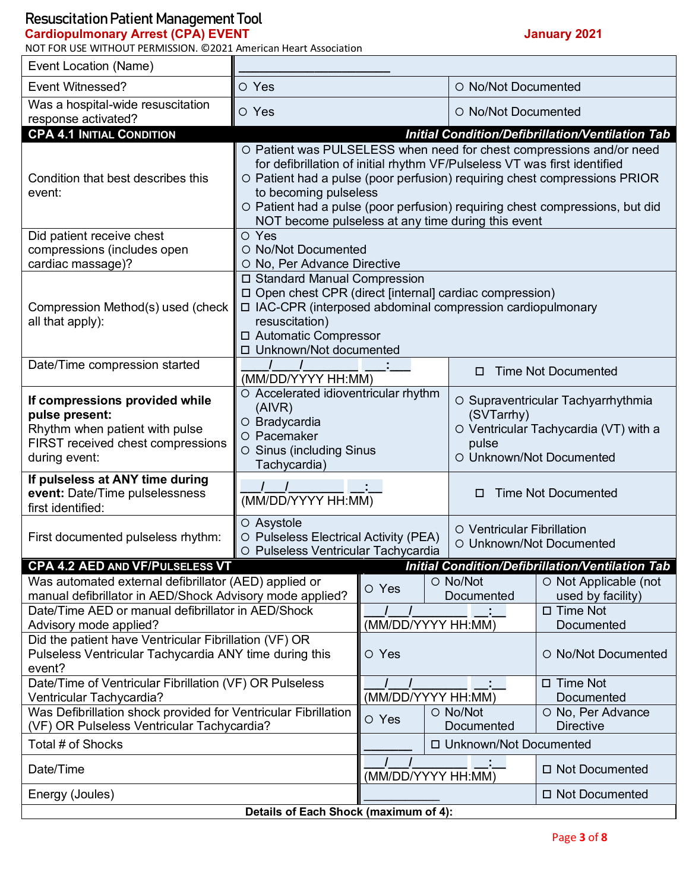#### **Cardiopulmonary Arrest (CPA) EVENT January 2021**

NOT FOR USE WITHOUT PERMISSION. ©2021 American Heart Association

٦

| Event Location (Name)                                                                                                                                                   |                                                                                                                                                                                                                                                                                                                                                                                               |                                        |                          |                                                                                                                                |                                                               |  |  |
|-------------------------------------------------------------------------------------------------------------------------------------------------------------------------|-----------------------------------------------------------------------------------------------------------------------------------------------------------------------------------------------------------------------------------------------------------------------------------------------------------------------------------------------------------------------------------------------|----------------------------------------|--------------------------|--------------------------------------------------------------------------------------------------------------------------------|---------------------------------------------------------------|--|--|
| Event Witnessed?                                                                                                                                                        | O Yes                                                                                                                                                                                                                                                                                                                                                                                         |                                        |                          | O No/Not Documented                                                                                                            |                                                               |  |  |
| Was a hospital-wide resuscitation<br>response activated?                                                                                                                | O Yes                                                                                                                                                                                                                                                                                                                                                                                         |                                        |                          | O No/Not Documented                                                                                                            |                                                               |  |  |
| <b>CPA 4.1 INITIAL CONDITION</b>                                                                                                                                        |                                                                                                                                                                                                                                                                                                                                                                                               |                                        |                          |                                                                                                                                | <b>Initial Condition/Defibrillation/Ventilation Tab</b>       |  |  |
| Condition that best describes this<br>event:                                                                                                                            | O Patient was PULSELESS when need for chest compressions and/or need<br>for defibrillation of initial rhythm VF/Pulseless VT was first identified<br>O Patient had a pulse (poor perfusion) requiring chest compressions PRIOR<br>to becoming pulseless<br>O Patient had a pulse (poor perfusion) requiring chest compressions, but did<br>NOT become pulseless at any time during this event |                                        |                          |                                                                                                                                |                                                               |  |  |
| Did patient receive chest<br>compressions (includes open<br>cardiac massage)?                                                                                           | O Yes<br>O No/Not Documented<br>O No, Per Advance Directive                                                                                                                                                                                                                                                                                                                                   |                                        |                          |                                                                                                                                |                                                               |  |  |
| Compression Method(s) used (check<br>all that apply):                                                                                                                   | □ Standard Manual Compression<br>□ Open chest CPR (direct [internal] cardiac compression)<br>□ IAC-CPR (interposed abdominal compression cardiopulmonary<br>resuscitation)<br>□ Automatic Compressor<br>□ Unknown/Not documented                                                                                                                                                              |                                        |                          |                                                                                                                                |                                                               |  |  |
| Date/Time compression started                                                                                                                                           | (MM/DD/YYYY HH:MM)                                                                                                                                                                                                                                                                                                                                                                            |                                        |                          | <b>Time Not Documented</b><br>п                                                                                                |                                                               |  |  |
| If compressions provided while<br>pulse present:<br>Rhythm when patient with pulse<br>FIRST received chest compressions<br>during event:                                | O Accelerated idioventricular rhythm<br>(AIVR)<br>O Bradycardia<br>O Pacemaker<br>O Sinus (including Sinus<br>Tachycardia)                                                                                                                                                                                                                                                                    |                                        |                          | O Supraventricular Tachyarrhythmia<br>(SVTarrhy)<br>O Ventricular Tachycardia (VT) with a<br>pulse<br>O Unknown/Not Documented |                                                               |  |  |
| If pulseless at ANY time during<br>event: Date/Time pulselessness<br>first identified:                                                                                  | (MM/DD/YYYY HH:MM)                                                                                                                                                                                                                                                                                                                                                                            |                                        |                          | <b>Time Not Documented</b><br>п                                                                                                |                                                               |  |  |
| First documented pulseless rhythm:                                                                                                                                      | O Asystole<br>O Pulseless Electrical Activity (PEA)<br>O Pulseless Ventricular Tachycardia                                                                                                                                                                                                                                                                                                    |                                        |                          | O Ventricular Fibrillation<br>O Unknown/Not Documented                                                                         |                                                               |  |  |
| CPA 4.2 AED AND VF/PULSELESS VT                                                                                                                                         |                                                                                                                                                                                                                                                                                                                                                                                               |                                        |                          |                                                                                                                                | <b>Initial Condition/Defibrillation/Ventilation Tab</b>       |  |  |
| Was automated external defibrillator (AED) applied or<br>manual defibrillator in AED/Shock Advisory mode applied?<br>Date/Time AED or manual defibrillator in AED/Shock |                                                                                                                                                                                                                                                                                                                                                                                               | O No/Not<br>O Yes<br>Documented        |                          |                                                                                                                                | O Not Applicable (not<br>used by facility)<br>$\Box$ Time Not |  |  |
| Advisory mode applied?                                                                                                                                                  |                                                                                                                                                                                                                                                                                                                                                                                               | (MM/DD/YYYY HH:MM)                     |                          |                                                                                                                                | Documented                                                    |  |  |
| Did the patient have Ventricular Fibrillation (VF) OR<br>Pulseless Ventricular Tachycardia ANY time during this<br>event?                                               | O Yes                                                                                                                                                                                                                                                                                                                                                                                         | O No/Not Documented                    |                          |                                                                                                                                |                                                               |  |  |
| Date/Time of Ventricular Fibrillation (VF) OR Pulseless<br>Ventricular Tachycardia?                                                                                     | (MM/DD/YYYY HH:MM)                                                                                                                                                                                                                                                                                                                                                                            |                                        |                          | $\Box$ Time Not<br>Documented                                                                                                  |                                                               |  |  |
| Was Defibrillation shock provided for Ventricular Fibrillation<br>(VF) OR Pulseless Ventricular Tachycardia?                                                            | O Yes                                                                                                                                                                                                                                                                                                                                                                                         | O No/Not                               | Documented               | O No, Per Advance<br><b>Directive</b>                                                                                          |                                                               |  |  |
| Total # of Shocks                                                                                                                                                       |                                                                                                                                                                                                                                                                                                                                                                                               |                                        | □ Unknown/Not Documented |                                                                                                                                |                                                               |  |  |
| Date/Time                                                                                                                                                               |                                                                                                                                                                                                                                                                                                                                                                                               | □ Not Documented<br>(MM/DD/YYYY HH:MM) |                          |                                                                                                                                |                                                               |  |  |
| Energy (Joules)                                                                                                                                                         |                                                                                                                                                                                                                                                                                                                                                                                               | □ Not Documented                       |                          |                                                                                                                                |                                                               |  |  |
| Details of Each Shock (maximum of 4):                                                                                                                                   |                                                                                                                                                                                                                                                                                                                                                                                               |                                        |                          |                                                                                                                                |                                                               |  |  |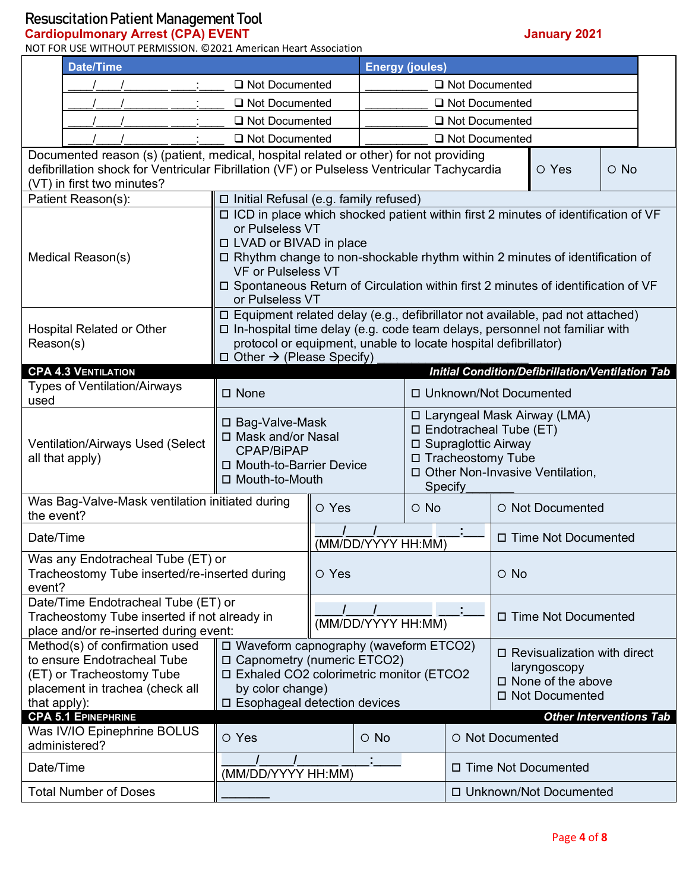**Cardiopulmonary Arrest (CPA) EVENT January 2021**

NOT FOR USE WITHOUT PERMISSION. ©2021 American Heart Association

|              | <b>Date/Time</b>                                                                            | <b>Energy (joules)</b>                                                                                                                               |                    |                          |                                                                                         |                  |                                   |                                                         |            |  |
|--------------|---------------------------------------------------------------------------------------------|------------------------------------------------------------------------------------------------------------------------------------------------------|--------------------|--------------------------|-----------------------------------------------------------------------------------------|------------------|-----------------------------------|---------------------------------------------------------|------------|--|
|              | Not Documented                                                                              |                                                                                                                                                      |                    |                          | Not Documented                                                                          |                  |                                   |                                                         |            |  |
|              |                                                                                             | □ Not Documented                                                                                                                                     |                    | Not Documented           |                                                                                         |                  |                                   |                                                         |            |  |
|              |                                                                                             | Not Documented                                                                                                                                       |                    |                          |                                                                                         | Not Documented   |                                   |                                                         |            |  |
|              |                                                                                             | Not Documented                                                                                                                                       |                    | Not Documented           |                                                                                         |                  |                                   |                                                         |            |  |
|              | Documented reason (s) (patient, medical, hospital related or other) for not providing       |                                                                                                                                                      |                    |                          |                                                                                         |                  |                                   |                                                         |            |  |
|              | defibrillation shock for Ventricular Fibrillation (VF) or Pulseless Ventricular Tachycardia |                                                                                                                                                      |                    |                          |                                                                                         |                  |                                   | O Yes                                                   | $\circ$ No |  |
|              | (VT) in first two minutes?<br>Patient Reason(s):                                            | □ Initial Refusal (e.g. family refused)                                                                                                              |                    |                          |                                                                                         |                  |                                   |                                                         |            |  |
|              |                                                                                             | □ ICD in place which shocked patient within first 2 minutes of identification of VF                                                                  |                    |                          |                                                                                         |                  |                                   |                                                         |            |  |
|              |                                                                                             | or Pulseless VT                                                                                                                                      |                    |                          |                                                                                         |                  |                                   |                                                         |            |  |
|              |                                                                                             | □ LVAD or BIVAD in place                                                                                                                             |                    |                          |                                                                                         |                  |                                   |                                                         |            |  |
|              | Medical Reason(s)                                                                           | □ Rhythm change to non-shockable rhythm within 2 minutes of identification of                                                                        |                    |                          |                                                                                         |                  |                                   |                                                         |            |  |
|              |                                                                                             | <b>VF or Pulseless VT</b>                                                                                                                            |                    |                          |                                                                                         |                  |                                   |                                                         |            |  |
|              |                                                                                             | □ Spontaneous Return of Circulation within first 2 minutes of identification of VF<br>or Pulseless VT                                                |                    |                          |                                                                                         |                  |                                   |                                                         |            |  |
|              |                                                                                             | $\Box$ Equipment related delay (e.g., defibrillator not available, pad not attached)                                                                 |                    |                          |                                                                                         |                  |                                   |                                                         |            |  |
| Reason(s)    | <b>Hospital Related or Other</b>                                                            | $\Box$ In-hospital time delay (e.g. code team delays, personnel not familiar with<br>protocol or equipment, unable to locate hospital defibrillator) |                    |                          |                                                                                         |                  |                                   |                                                         |            |  |
|              |                                                                                             | $\Box$ Other $\rightarrow$ (Please Specify)                                                                                                          |                    |                          |                                                                                         |                  |                                   |                                                         |            |  |
|              | <b>CPA 4.3 VENTILATION</b>                                                                  |                                                                                                                                                      |                    |                          |                                                                                         |                  |                                   | <b>Initial Condition/Defibrillation/Ventilation Tab</b> |            |  |
| used         | <b>Types of Ventilation/Airways</b>                                                         | □ None                                                                                                                                               |                    | □ Unknown/Not Documented |                                                                                         |                  |                                   |                                                         |            |  |
|              |                                                                                             | □ Bag-Valve-Mask<br>□ Mask and/or Nasal                                                                                                              |                    |                          | □ Laryngeal Mask Airway (LMA)<br>$\Box$ Endotracheal Tube (ET)<br>□ Supraglottic Airway |                  |                                   |                                                         |            |  |
|              |                                                                                             |                                                                                                                                                      |                    |                          |                                                                                         |                  |                                   |                                                         |            |  |
|              | <b>Ventilation/Airways Used (Select</b><br>all that apply)                                  | CPAP/BiPAP                                                                                                                                           |                    | □ Tracheostomy Tube      |                                                                                         |                  |                                   |                                                         |            |  |
|              |                                                                                             | □ Mouth-to-Barrier Device                                                                                                                            |                    |                          |                                                                                         |                  | □ Other Non-Invasive Ventilation, |                                                         |            |  |
|              |                                                                                             | □ Mouth-to-Mouth                                                                                                                                     |                    |                          |                                                                                         | Specify          |                                   |                                                         |            |  |
|              | Was Bag-Valve-Mask ventilation initiated during                                             |                                                                                                                                                      | O Yes              |                          | $\circ$ No                                                                              |                  | O Not Documented                  |                                                         |            |  |
| the event?   |                                                                                             |                                                                                                                                                      |                    |                          |                                                                                         |                  |                                   |                                                         |            |  |
| Date/Time    |                                                                                             |                                                                                                                                                      |                    | (MM/DD/YYYY HH:MM)       |                                                                                         |                  | □ Time Not Documented             |                                                         |            |  |
|              | Was any Endotracheal Tube (ET) or                                                           |                                                                                                                                                      |                    |                          |                                                                                         |                  |                                   |                                                         |            |  |
| event?       | Tracheostomy Tube inserted/re-inserted during                                               |                                                                                                                                                      | O Yes              |                          |                                                                                         |                  | $\circ$ No                        |                                                         |            |  |
|              | Date/Time Endotracheal Tube (ET) or                                                         |                                                                                                                                                      |                    |                          |                                                                                         |                  |                                   |                                                         |            |  |
|              | Tracheostomy Tube inserted if not already in                                                |                                                                                                                                                      | (MM/DD/YYYY HH:MM) |                          |                                                                                         |                  | □ Time Not Documented             |                                                         |            |  |
|              | place and/or re-inserted during event:                                                      |                                                                                                                                                      |                    |                          |                                                                                         |                  |                                   |                                                         |            |  |
|              | Method(s) of confirmation used                                                              | □ Waveform capnography (waveform ETCO2)                                                                                                              |                    |                          |                                                                                         |                  |                                   | $\Box$ Revisualization with direct                      |            |  |
|              | to ensure Endotracheal Tube                                                                 | □ Capnometry (numeric ETCO2)                                                                                                                         |                    |                          |                                                                                         |                  |                                   | laryngoscopy                                            |            |  |
|              | (ET) or Tracheostomy Tube<br>placement in trachea (check all                                | □ Exhaled CO2 colorimetric monitor (ETCO2<br>by color change)                                                                                        |                    |                          |                                                                                         |                  |                                   | $\square$ None of the above                             |            |  |
| that apply): | □ Esophageal detection devices                                                              |                                                                                                                                                      |                    |                          |                                                                                         |                  |                                   | □ Not Documented                                        |            |  |
|              | <b>CPA 5.1 EPINEPHRINE</b>                                                                  | <b>Other Interventions Tab</b>                                                                                                                       |                    |                          |                                                                                         |                  |                                   |                                                         |            |  |
|              | Was IV/IO Epinephrine BOLUS                                                                 | O Yes                                                                                                                                                |                    | $\circ$ No               |                                                                                         | O Not Documented |                                   |                                                         |            |  |
|              | administered?                                                                               |                                                                                                                                                      |                    |                          |                                                                                         |                  |                                   |                                                         |            |  |
| Date/Time    |                                                                                             | (MM/DD/YYYY HH:MM)                                                                                                                                   |                    |                          |                                                                                         |                  |                                   | □ Time Not Documented                                   |            |  |
|              | <b>Total Number of Doses</b>                                                                |                                                                                                                                                      |                    |                          | □ Unknown/Not Documented                                                                |                  |                                   |                                                         |            |  |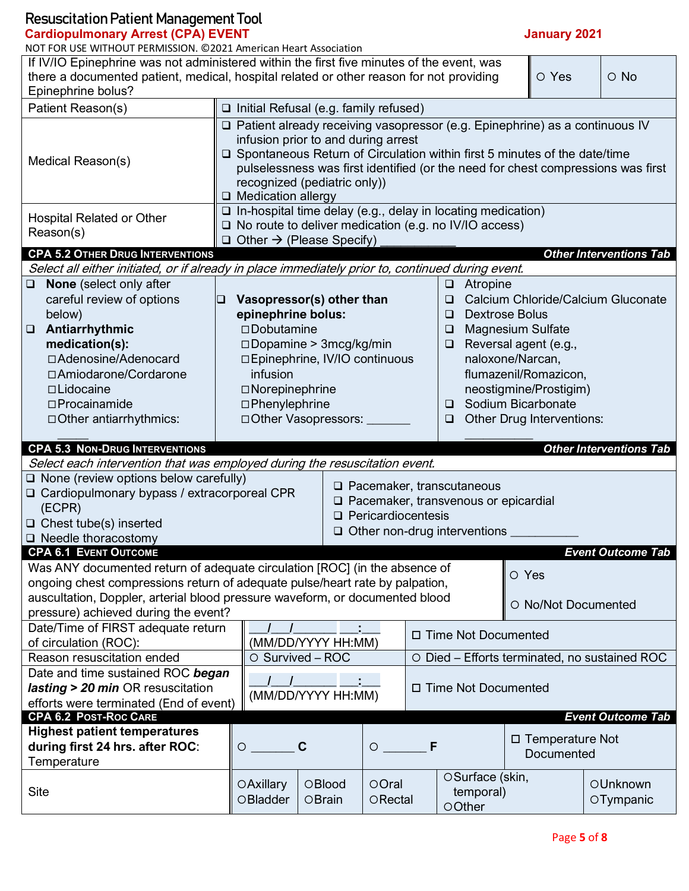| <b>Resuscitation Patient Management Tool</b>                                                                  |                                                                                                                      |                                 |                                                                     |                                                                             |                     |                                    |  |  |  |
|---------------------------------------------------------------------------------------------------------------|----------------------------------------------------------------------------------------------------------------------|---------------------------------|---------------------------------------------------------------------|-----------------------------------------------------------------------------|---------------------|------------------------------------|--|--|--|
| <b>Cardiopulmonary Arrest (CPA) EVENT</b>                                                                     |                                                                                                                      |                                 |                                                                     |                                                                             | <b>January 2021</b> |                                    |  |  |  |
| NOT FOR USE WITHOUT PERMISSION. @2021 American Heart Association                                              |                                                                                                                      |                                 |                                                                     |                                                                             |                     |                                    |  |  |  |
| If IV/IO Epinephrine was not administered within the first five minutes of the event, was                     |                                                                                                                      |                                 |                                                                     |                                                                             | O Yes               | $\circ$ No                         |  |  |  |
| there a documented patient, medical, hospital related or other reason for not providing<br>Epinephrine bolus? |                                                                                                                      |                                 |                                                                     |                                                                             |                     |                                    |  |  |  |
| Patient Reason(s)                                                                                             | $\Box$ Initial Refusal (e.g. family refused)                                                                         |                                 |                                                                     |                                                                             |                     |                                    |  |  |  |
|                                                                                                               |                                                                                                                      |                                 |                                                                     |                                                                             |                     |                                    |  |  |  |
|                                                                                                               | □ Patient already receiving vasopressor (e.g. Epinephrine) as a continuous IV<br>infusion prior to and during arrest |                                 |                                                                     |                                                                             |                     |                                    |  |  |  |
|                                                                                                               |                                                                                                                      |                                 |                                                                     | □ Spontaneous Return of Circulation within first 5 minutes of the date/time |                     |                                    |  |  |  |
| Medical Reason(s)                                                                                             | pulselessness was first identified (or the need for chest compressions was first                                     |                                 |                                                                     |                                                                             |                     |                                    |  |  |  |
|                                                                                                               |                                                                                                                      | recognized (pediatric only))    |                                                                     |                                                                             |                     |                                    |  |  |  |
|                                                                                                               | □ Medication allergy                                                                                                 |                                 |                                                                     |                                                                             |                     |                                    |  |  |  |
| <b>Hospital Related or Other</b>                                                                              |                                                                                                                      |                                 |                                                                     | □ In-hospital time delay (e.g., delay in locating medication)               |                     |                                    |  |  |  |
| Reason(s)                                                                                                     |                                                                                                                      |                                 |                                                                     | $\Box$ No route to deliver medication (e.g. no IV/IO access)                |                     |                                    |  |  |  |
| <b>CPA 5.2 OTHER DRUG INTERVENTIONS</b>                                                                       | $\Box$ Other $\rightarrow$ (Please Specify)                                                                          |                                 |                                                                     |                                                                             |                     | <b>Other Interventions Tab</b>     |  |  |  |
| Select all either initiated, or if already in place immediately prior to, continued during event.             |                                                                                                                      |                                 |                                                                     |                                                                             |                     |                                    |  |  |  |
| None (select only after<br>❏.                                                                                 |                                                                                                                      |                                 |                                                                     | Atropine<br>$\Box$                                                          |                     |                                    |  |  |  |
| careful review of options<br>❏                                                                                |                                                                                                                      | Vasopressor(s) other than       |                                                                     | ❏                                                                           |                     | Calcium Chloride/Calcium Gluconate |  |  |  |
| below)                                                                                                        | epinephrine bolus:                                                                                                   |                                 |                                                                     | <b>Dextrose Bolus</b><br>◻                                                  |                     |                                    |  |  |  |
| Antiarrhythmic<br>$\Box$                                                                                      | $\square$ Dobutamine                                                                                                 |                                 |                                                                     | <b>Magnesium Sulfate</b><br>$\Box$                                          |                     |                                    |  |  |  |
| medication(s):                                                                                                |                                                                                                                      | $\Box$ Dopamine > 3mcg/kg/min   |                                                                     | Reversal agent (e.g.,<br>$\Box$                                             |                     |                                    |  |  |  |
| □ Adenosine/Adenocard                                                                                         |                                                                                                                      | □ Epinephrine, IV/IO continuous |                                                                     | naloxone/Narcan,                                                            |                     |                                    |  |  |  |
| □ Amiodarone/Cordarone                                                                                        | infusion                                                                                                             |                                 |                                                                     | flumazenil/Romazicon,                                                       |                     |                                    |  |  |  |
| □Lidocaine                                                                                                    | □Norepinephrine                                                                                                      |                                 |                                                                     | neostigmine/Prostigim)<br>Sodium Bicarbonate                                |                     |                                    |  |  |  |
| $\square$ Procainamide                                                                                        | □Phenylephrine                                                                                                       |                                 |                                                                     | $\Box$                                                                      |                     |                                    |  |  |  |
| □ Other antiarrhythmics:                                                                                      |                                                                                                                      |                                 | □ Other Vasopressors: ____<br>Other Drug Interventions:<br>❏        |                                                                             |                     |                                    |  |  |  |
| <b>CPA 5.3 NON-DRUG INTERVENTIONS</b>                                                                         |                                                                                                                      |                                 |                                                                     |                                                                             |                     | <b>Other Interventions Tab</b>     |  |  |  |
| Select each intervention that was employed during the resuscitation event.                                    |                                                                                                                      |                                 |                                                                     |                                                                             |                     |                                    |  |  |  |
| $\Box$ None (review options below carefully)                                                                  |                                                                                                                      |                                 | $\Box$ Pacemaker, transcutaneous                                    |                                                                             |                     |                                    |  |  |  |
| □ Cardiopulmonary bypass / extracorporeal CPR                                                                 |                                                                                                                      |                                 |                                                                     |                                                                             |                     |                                    |  |  |  |
| (ECPR)                                                                                                        |                                                                                                                      |                                 | □ Pacemaker, transvenous or epicardial<br>$\Box$ Pericardiocentesis |                                                                             |                     |                                    |  |  |  |
| $\Box$ Chest tube(s) inserted                                                                                 |                                                                                                                      |                                 | $\Box$ Other non-drug interventions                                 |                                                                             |                     |                                    |  |  |  |
| $\Box$ Needle thoracostomy                                                                                    |                                                                                                                      |                                 |                                                                     |                                                                             |                     |                                    |  |  |  |
| <b>CPA 6.1 EVENT OUTCOME</b><br>Was ANY documented return of adequate circulation [ROC] (in the absence of    |                                                                                                                      |                                 |                                                                     |                                                                             |                     | <b>Event Outcome Tab</b>           |  |  |  |
| ongoing chest compressions return of adequate pulse/heart rate by palpation,                                  |                                                                                                                      |                                 |                                                                     | O Yes                                                                       |                     |                                    |  |  |  |
| auscultation, Doppler, arterial blood pressure waveform, or documented blood                                  |                                                                                                                      |                                 |                                                                     |                                                                             |                     |                                    |  |  |  |
| pressure) achieved during the event?                                                                          |                                                                                                                      |                                 |                                                                     |                                                                             | O No/Not Documented |                                    |  |  |  |
| Date/Time of FIRST adequate return                                                                            |                                                                                                                      |                                 |                                                                     |                                                                             |                     |                                    |  |  |  |
| of circulation (ROC):                                                                                         |                                                                                                                      | (MM/DD/YYYY HH:MM)              |                                                                     | □ Time Not Documented                                                       |                     |                                    |  |  |  |
| Reason resuscitation ended                                                                                    |                                                                                                                      | O Survived - ROC                |                                                                     | ○ Died – Efforts terminated, no sustained ROC                               |                     |                                    |  |  |  |
| Date and time sustained ROC began                                                                             |                                                                                                                      |                                 |                                                                     |                                                                             |                     |                                    |  |  |  |
| <b>lasting &gt; 20 min</b> OR resuscitation                                                                   | □ Time Not Documented<br>(MM/DD/YYYY HH:MM)                                                                          |                                 |                                                                     |                                                                             |                     |                                    |  |  |  |
| efforts were terminated (End of event)                                                                        |                                                                                                                      |                                 |                                                                     |                                                                             |                     |                                    |  |  |  |
| <b>CPA 6.2 POST-ROC CARE</b>                                                                                  |                                                                                                                      |                                 |                                                                     |                                                                             |                     | <b>Event Outcome Tab</b>           |  |  |  |
| <b>Highest patient temperatures</b><br>during first 24 hrs. after ROC:                                        | $\circ$                                                                                                              | C                               | F<br>$\circ$                                                        |                                                                             | □ Temperature Not   |                                    |  |  |  |
| Temperature                                                                                                   |                                                                                                                      |                                 |                                                                     |                                                                             | Documented          |                                    |  |  |  |
|                                                                                                               |                                                                                                                      |                                 |                                                                     | OSurface (skin,                                                             |                     |                                    |  |  |  |
|                                                                                                               |                                                                                                                      |                                 |                                                                     |                                                                             |                     |                                    |  |  |  |
| <b>Site</b>                                                                                                   | <b>OAxillary</b><br>OBladder                                                                                         | OBlood<br>OBrain                | OOral<br>ORectal                                                    | temporal)                                                                   |                     | OUnknown<br>OTympanic              |  |  |  |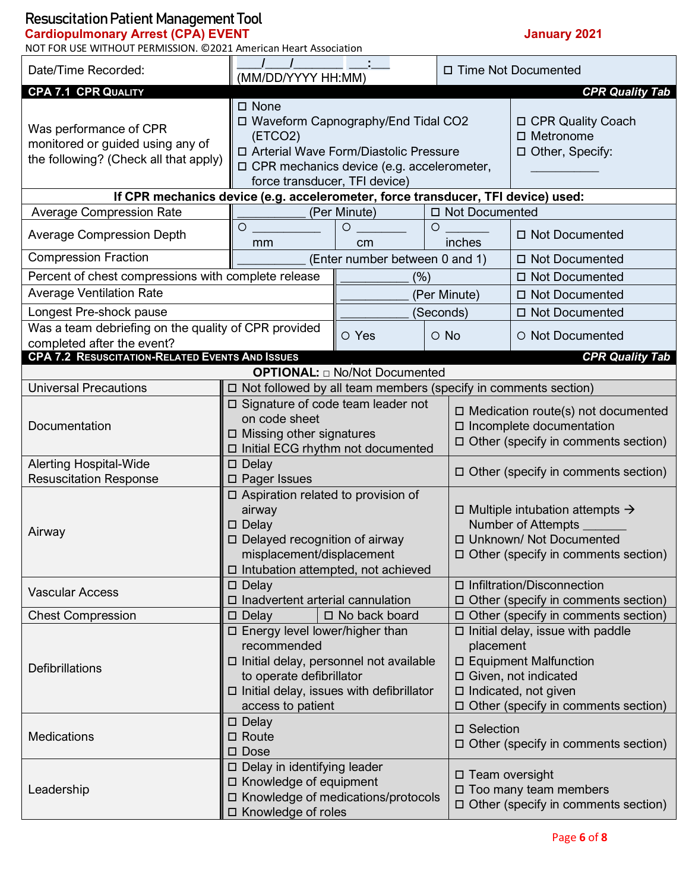#### **Cardiopulmonary Arrest (CPA) EVENT January 2021**

| NOT FOR USE WITHOUT PERMISSION. @2021 American Heart Association                                                  |                                                                                                                                                                                                 |                                                                                                                                     |                       |                                                                                                                                                                                        |                                                              |  |  |
|-------------------------------------------------------------------------------------------------------------------|-------------------------------------------------------------------------------------------------------------------------------------------------------------------------------------------------|-------------------------------------------------------------------------------------------------------------------------------------|-----------------------|----------------------------------------------------------------------------------------------------------------------------------------------------------------------------------------|--------------------------------------------------------------|--|--|
| Date/Time Recorded:                                                                                               | (MM/DD/YYYY HH:MM)                                                                                                                                                                              |                                                                                                                                     | □ Time Not Documented |                                                                                                                                                                                        |                                                              |  |  |
| <b>CPA 7.1 CPR QUALITY</b>                                                                                        |                                                                                                                                                                                                 |                                                                                                                                     |                       |                                                                                                                                                                                        | <b>CPR Quality Tab</b>                                       |  |  |
| Was performance of CPR<br>monitored or guided using any of<br>the following? (Check all that apply)               | □ None<br>(ETCO2)<br>force transducer, TFI device)                                                                                                                                              | □ Waveform Capnography/End Tidal CO2<br>□ Arterial Wave Form/Diastolic Pressure<br>$\Box$ CPR mechanics device (e.g. accelerometer, |                       |                                                                                                                                                                                        | □ CPR Quality Coach<br>$\Box$ Metronome<br>□ Other, Specify: |  |  |
| If CPR mechanics device (e.g. accelerometer, force transducer, TFI device) used:                                  |                                                                                                                                                                                                 |                                                                                                                                     |                       |                                                                                                                                                                                        |                                                              |  |  |
| <b>Average Compression Rate</b>                                                                                   |                                                                                                                                                                                                 | (Per Minute)                                                                                                                        |                       | □ Not Documented                                                                                                                                                                       |                                                              |  |  |
| <b>Average Compression Depth</b>                                                                                  | O<br>mm                                                                                                                                                                                         | $\circ$<br>cm                                                                                                                       | $\circ$               | inches                                                                                                                                                                                 | □ Not Documented                                             |  |  |
| <b>Compression Fraction</b>                                                                                       |                                                                                                                                                                                                 | (Enter number between 0 and 1)                                                                                                      |                       |                                                                                                                                                                                        | □ Not Documented                                             |  |  |
| Percent of chest compressions with complete release<br><b>Average Ventilation Rate</b><br>Longest Pre-shock pause |                                                                                                                                                                                                 | (%)                                                                                                                                 | (Seconds)             | (Per Minute)                                                                                                                                                                           | □ Not Documented<br>□ Not Documented<br>□ Not Documented     |  |  |
| Was a team debriefing on the quality of CPR provided                                                              |                                                                                                                                                                                                 |                                                                                                                                     |                       |                                                                                                                                                                                        |                                                              |  |  |
| completed after the event?                                                                                        |                                                                                                                                                                                                 | O Yes                                                                                                                               | $\circ$ No            |                                                                                                                                                                                        | O Not Documented                                             |  |  |
| <b>CPA 7.2 RESUSCITATION-RELATED EVENTS AND ISSUES</b><br><b>CPR Quality Tab</b>                                  |                                                                                                                                                                                                 |                                                                                                                                     |                       |                                                                                                                                                                                        |                                                              |  |  |
| <b>OPTIONAL:</b> $\Box$ No/Not Documented                                                                         |                                                                                                                                                                                                 |                                                                                                                                     |                       |                                                                                                                                                                                        |                                                              |  |  |
| <b>Universal Precautions</b>                                                                                      | $\Box$ Not followed by all team members (specify in comments section)                                                                                                                           |                                                                                                                                     |                       |                                                                                                                                                                                        |                                                              |  |  |
| Documentation                                                                                                     | □ Signature of code team leader not<br>on code sheet<br>$\Box$ Missing other signatures<br>□ Initial ECG rhythm not documented                                                                  |                                                                                                                                     |                       | $\Box$ Medication route(s) not documented<br>□ Incomplete documentation<br>$\Box$ Other (specify in comments section)                                                                  |                                                              |  |  |
| <b>Alerting Hospital-Wide</b>                                                                                     | $\Box$ Delay                                                                                                                                                                                    |                                                                                                                                     |                       |                                                                                                                                                                                        |                                                              |  |  |
| <b>Resuscitation Response</b>                                                                                     | □ Pager Issues                                                                                                                                                                                  |                                                                                                                                     |                       | $\Box$ Other (specify in comments section)                                                                                                                                             |                                                              |  |  |
| Airway                                                                                                            | □ Aspiration related to provision of<br>airway<br>$\square$ Delay<br>$\Box$ Delayed recognition of airway<br>misplacement/displacement<br>□ Intubation attempted, not achieved                  |                                                                                                                                     |                       | $\Box$ Multiple intubation attempts $\rightarrow$<br>Number of Attempts _<br>□ Unknown/ Not Documented<br>□ Other (specify in comments section)                                        |                                                              |  |  |
| <b>Vascular Access</b>                                                                                            | $\square$ Delay<br>□ Inadvertent arterial cannulation                                                                                                                                           |                                                                                                                                     |                       | □ Infiltration/Disconnection<br>$\Box$ Other (specify in comments section)                                                                                                             |                                                              |  |  |
| <b>Chest Compression</b>                                                                                          | $\square$ Delay                                                                                                                                                                                 | $\square$ No back board                                                                                                             |                       | □ Other (specify in comments section)                                                                                                                                                  |                                                              |  |  |
| <b>Defibrillations</b>                                                                                            | □ Energy level lower/higher than<br>recommended<br>□ Initial delay, personnel not available<br>to operate defibrillator<br>$\Box$ Initial delay, issues with defibrillator<br>access to patient |                                                                                                                                     |                       | $\Box$ Initial delay, issue with paddle<br>placement<br>□ Equipment Malfunction<br>□ Given, not indicated<br>$\Box$ Indicated, not given<br>$\Box$ Other (specify in comments section) |                                                              |  |  |
| <b>Medications</b>                                                                                                | $\square$ Delay<br>$\square$ Route<br>$\square$ Dose                                                                                                                                            |                                                                                                                                     |                       | □ Selection                                                                                                                                                                            | $\Box$ Other (specify in comments section)                   |  |  |
| Leadership                                                                                                        | $\Box$ Delay in identifying leader<br>□ Knowledge of equipment<br>□ Knowledge of medications/protocols<br>□ Knowledge of roles                                                                  |                                                                                                                                     |                       | □ Team oversight<br>□ Too many team members<br>$\Box$ Other (specify in comments section)                                                                                              |                                                              |  |  |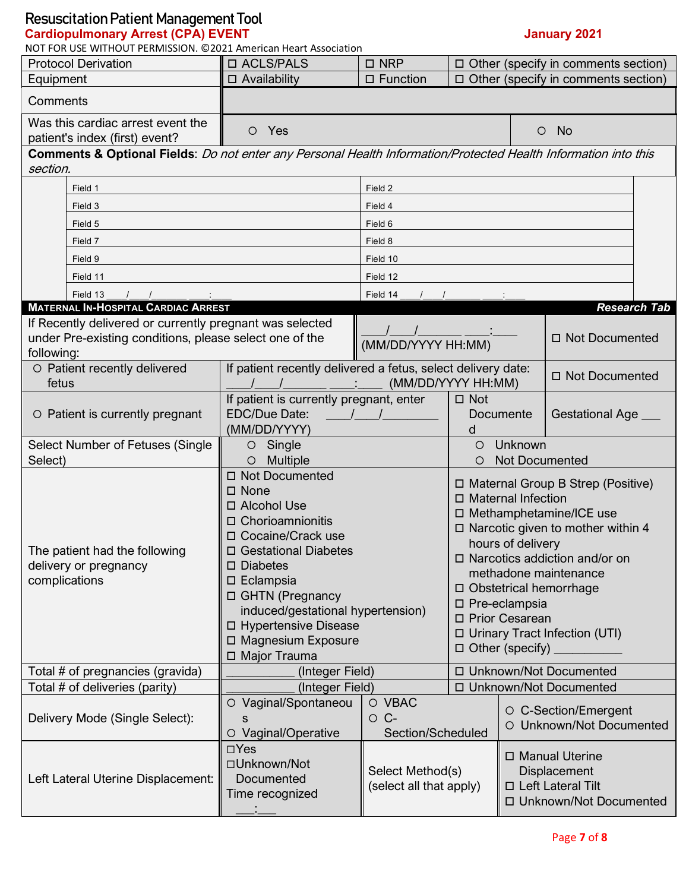### **Cardiopulmonary Arrest (CPA) EVENT January 2021**

NOT FOR USE WITHOUT PERMISSION. ©2021 American Heart Association

| <b>Protocol Derivation</b>                                                                                      | □ ACLS/PALS                                                                                                                                                                                                                                                                                           | $\square$ NRP                               | $\Box$ Other (specify in comments section)                                                                                                                                                                                                                                                                                                       |                                  |                                                       |                     |
|-----------------------------------------------------------------------------------------------------------------|-------------------------------------------------------------------------------------------------------------------------------------------------------------------------------------------------------------------------------------------------------------------------------------------------------|---------------------------------------------|--------------------------------------------------------------------------------------------------------------------------------------------------------------------------------------------------------------------------------------------------------------------------------------------------------------------------------------------------|----------------------------------|-------------------------------------------------------|---------------------|
| Equipment                                                                                                       | $\Box$ Availability                                                                                                                                                                                                                                                                                   | $\square$ Function                          | □ Other (specify in comments section)                                                                                                                                                                                                                                                                                                            |                                  |                                                       |                     |
| Comments                                                                                                        |                                                                                                                                                                                                                                                                                                       |                                             |                                                                                                                                                                                                                                                                                                                                                  |                                  |                                                       |                     |
| Was this cardiac arrest event the<br>patient's index (first) event?                                             | O Yes                                                                                                                                                                                                                                                                                                 |                                             |                                                                                                                                                                                                                                                                                                                                                  |                                  | <b>No</b><br>$\circ$                                  |                     |
| Comments & Optional Fields: Do not enter any Personal Health Information/Protected Health Information into this |                                                                                                                                                                                                                                                                                                       |                                             |                                                                                                                                                                                                                                                                                                                                                  |                                  |                                                       |                     |
| section.                                                                                                        |                                                                                                                                                                                                                                                                                                       |                                             |                                                                                                                                                                                                                                                                                                                                                  |                                  |                                                       |                     |
| Field 1                                                                                                         |                                                                                                                                                                                                                                                                                                       | Field 2                                     |                                                                                                                                                                                                                                                                                                                                                  |                                  |                                                       |                     |
| Field 3                                                                                                         |                                                                                                                                                                                                                                                                                                       | Field 4                                     |                                                                                                                                                                                                                                                                                                                                                  |                                  |                                                       |                     |
| Field 5                                                                                                         |                                                                                                                                                                                                                                                                                                       | Field 6                                     |                                                                                                                                                                                                                                                                                                                                                  |                                  |                                                       |                     |
| Field 7                                                                                                         |                                                                                                                                                                                                                                                                                                       | Field 8                                     |                                                                                                                                                                                                                                                                                                                                                  |                                  |                                                       |                     |
| Field 9                                                                                                         |                                                                                                                                                                                                                                                                                                       | Field 10                                    |                                                                                                                                                                                                                                                                                                                                                  |                                  |                                                       |                     |
| Field 11                                                                                                        |                                                                                                                                                                                                                                                                                                       | Field 12                                    |                                                                                                                                                                                                                                                                                                                                                  |                                  |                                                       |                     |
| Field 13                                                                                                        |                                                                                                                                                                                                                                                                                                       | Field 14                                    |                                                                                                                                                                                                                                                                                                                                                  |                                  |                                                       |                     |
| <b>MATERNAL IN-HOSPITAL CARDIAC ARREST</b><br>If Recently delivered or currently pregnant was selected          |                                                                                                                                                                                                                                                                                                       |                                             |                                                                                                                                                                                                                                                                                                                                                  |                                  |                                                       | <b>Research Tab</b> |
| under Pre-existing conditions, please select one of the                                                         |                                                                                                                                                                                                                                                                                                       |                                             |                                                                                                                                                                                                                                                                                                                                                  |                                  | □ Not Documented                                      |                     |
| following:                                                                                                      |                                                                                                                                                                                                                                                                                                       | (MM/DD/YYYY HH:MM)                          |                                                                                                                                                                                                                                                                                                                                                  |                                  |                                                       |                     |
| O Patient recently delivered<br>fetus                                                                           | If patient recently delivered a fetus, select delivery date:                                                                                                                                                                                                                                          |                                             | (MM/DD/YYYY HH:MM)                                                                                                                                                                                                                                                                                                                               |                                  | □ Not Documented                                      |                     |
| O Patient is currently pregnant                                                                                 | <b>EDC/Due Date:</b>                                                                                                                                                                                                                                                                                  | If patient is currently pregnant, enter     |                                                                                                                                                                                                                                                                                                                                                  |                                  | Gestational Age _                                     |                     |
|                                                                                                                 | (MM/DD/YYYY)                                                                                                                                                                                                                                                                                          | d                                           |                                                                                                                                                                                                                                                                                                                                                  |                                  |                                                       |                     |
| Select Number of Fetuses (Single<br>Select)                                                                     | Single<br>$\circ$<br><b>Multiple</b><br>$\circ$                                                                                                                                                                                                                                                       |                                             | O<br>O                                                                                                                                                                                                                                                                                                                                           | Unknown<br><b>Not Documented</b> |                                                       |                     |
| The patient had the following<br>delivery or pregnancy<br>complications                                         | □ Not Documented<br>$\square$ None<br>□ Alcohol Use<br>□ Chorioamnionitis<br>□ Cocaine/Crack use<br>□ Gestational Diabetes<br>$\square$ Diabetes<br>$\square$ Eclampsia<br>□ GHTN (Pregnancy<br>induced/gestational hypertension)<br>□ Hypertensive Disease<br>□ Magnesium Exposure<br>□ Major Trauma |                                             | □ Maternal Group B Strep (Positive)<br>□ Maternal Infection<br>□ Methamphetamine/ICE use<br>□ Narcotic given to mother within 4<br>hours of delivery<br>□ Narcotics addiction and/or on<br>methadone maintenance<br>□ Obstetrical hemorrhage<br>□ Pre-eclampsia<br>□ Prior Cesarean<br>□ Urinary Tract Infection (UTI)<br>$\Box$ Other (specify) |                                  |                                                       |                     |
| Total # of pregnancies (gravida)                                                                                | (Integer Field)                                                                                                                                                                                                                                                                                       |                                             | □ Unknown/Not Documented                                                                                                                                                                                                                                                                                                                         |                                  |                                                       |                     |
| Total # of deliveries (parity)                                                                                  | (Integer Field)                                                                                                                                                                                                                                                                                       |                                             |                                                                                                                                                                                                                                                                                                                                                  |                                  | □ Unknown/Not Documented                              |                     |
| Delivery Mode (Single Select):                                                                                  | O Vaginal/Spontaneou<br>s<br>O Vaginal/Operative                                                                                                                                                                                                                                                      | O VBAC<br>$\circ$ C-<br>Section/Scheduled   |                                                                                                                                                                                                                                                                                                                                                  |                                  | ○ C-Section/Emergent<br><b>Unknown/Not Documented</b> |                     |
| Left Lateral Uterine Displacement:                                                                              | $\Box$ Yes<br>□Unknown/Not<br>Documented<br>Time recognized                                                                                                                                                                                                                                           | Select Method(s)<br>(select all that apply) | □ Manual Uterine<br>Displacement<br>□ Left Lateral Tilt<br>□ Unknown/Not Documented                                                                                                                                                                                                                                                              |                                  |                                                       |                     |